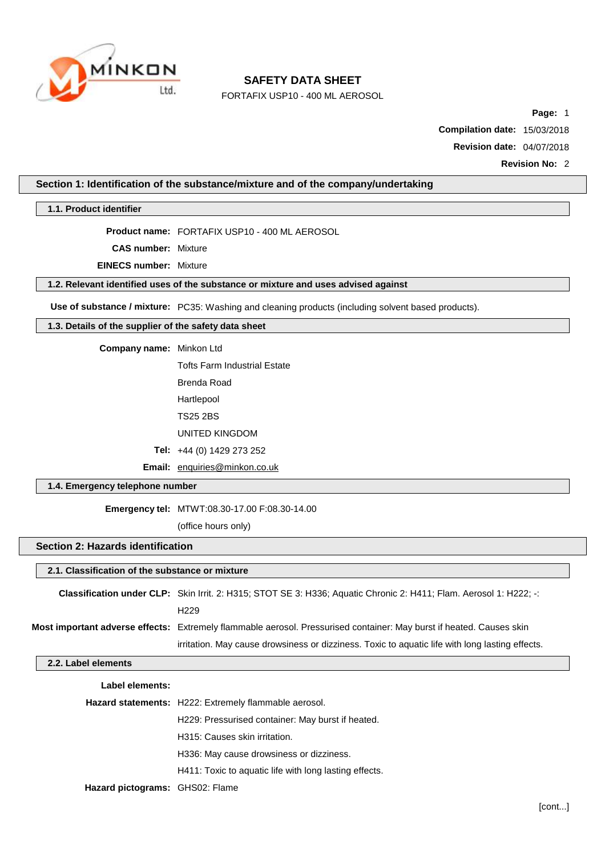

FORTAFIX USP10 - 400 ML AEROSOL

**Page:** 1

**Compilation date:** 15/03/2018

**Revision date:** 04/07/2018

**Revision No:** 2

**Section 1: Identification of the substance/mixture and of the company/undertaking**

**1.1. Product identifier**

**Product name:** FORTAFIX USP10 - 400 ML AEROSOL

**CAS number:** Mixture

**EINECS number:** Mixture

**1.2. Relevant identified uses of the substance or mixture and uses advised against**

**Use of substance / mixture:** PC35: Washing and cleaning products (including solvent based products).

**1.3. Details of the supplier of the safety data sheet**

**Company name:** Minkon Ltd

Tofts Farm Industrial Estate Brenda Road Hartlepool

TS25 2BS

UNITED KINGDOM

**Tel:** +44 (0) 1429 273 252

**Email:** [enquiries@minkon.co.uk](mailto:enquiries@minkon.co.uk)

## **1.4. Emergency telephone number**

**Emergency tel:** MTWT:08.30-17.00 F:08.30-14.00

(office hours only)

## **Section 2: Hazards identification**

#### **2.1. Classification of the substance or mixture**

| Classification under CLP: Skin Irrit. 2: H315; STOT SE 3: H336; Aquatic Chronic 2: H411; Flam. Aerosol 1: H222; -:   |
|----------------------------------------------------------------------------------------------------------------------|
| H <sub>229</sub>                                                                                                     |
| Most important adverse effects: Extremely flammable aerosol. Pressurised container: May burst if heated. Causes skin |
| irritation. May cause drowsiness or dizziness. Toxic to aquatic life with long lasting effects.                      |

#### **2.2. Label elements**

| Label elements:                 |                                                        |
|---------------------------------|--------------------------------------------------------|
|                                 | Hazard statements: H222: Extremely flammable aerosol.  |
|                                 | H229: Pressurised container: May burst if heated.      |
|                                 | H315: Causes skin irritation.                          |
|                                 | H336: May cause drowsiness or dizziness.               |
|                                 | H411: Toxic to aguatic life with long lasting effects. |
| Hazard pictograms: GHS02: Flame |                                                        |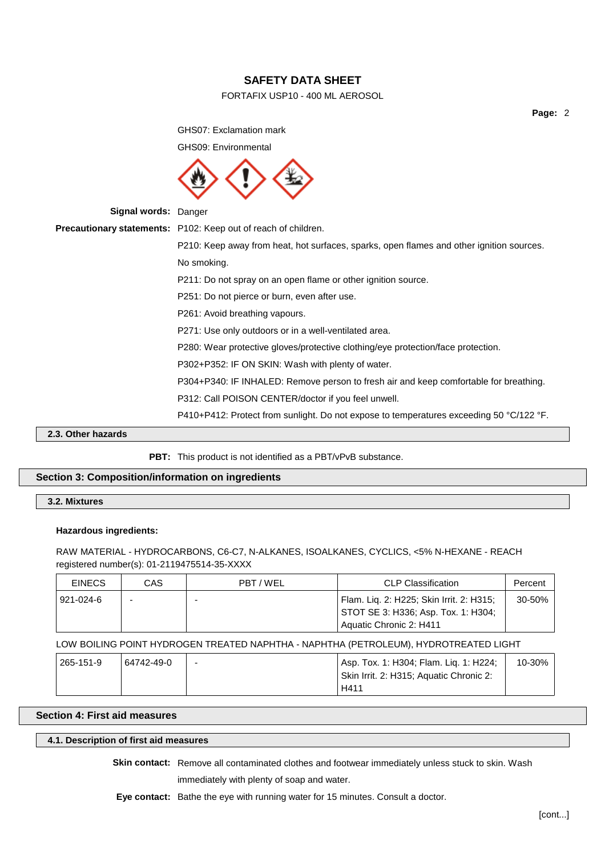## FORTAFIX USP10 - 400 ML AEROSOL

**Page:** 2

GHS07: Exclamation mark GHS09: Environmental **Signal words:** Danger **Precautionary statements:** P102: Keep out of reach of children. P210: Keep away from heat, hot surfaces, sparks, open flames and other ignition sources. No smoking. P211: Do not spray on an open flame or other ignition source. P251: Do not pierce or burn, even after use. P261: Avoid breathing vapours. P271: Use only outdoors or in a well-ventilated area. P280: Wear protective gloves/protective clothing/eye protection/face protection. P302+P352: IF ON SKIN: Wash with plenty of water. P304+P340: IF INHALED: Remove person to fresh air and keep comfortable for breathing. P312: Call POISON CENTER/doctor if you feel unwell. P410+P412: Protect from sunlight. Do not expose to temperatures exceeding 50 °C/122 °F.

**2.3. Other hazards**

#### **PBT:** This product is not identified as a PBT/vPvB substance.

## **Section 3: Composition/information on ingredients**

**3.2. Mixtures**

#### **Hazardous ingredients:**

RAW MATERIAL - HYDROCARBONS, C6-C7, N-ALKANES, ISOALKANES, CYCLICS, <5% N-HEXANE - REACH registered number(s): 01-2119475514-35-XXXX

| <b>EINECS</b> | CAS | PBT/WEL | <b>CLP Classification</b>                                                       | Percent    |
|---------------|-----|---------|---------------------------------------------------------------------------------|------------|
| 921-024-6     |     | -       | Flam. Liq. 2: H225; Skin Irrit. 2: H315;<br>STOT SE 3: H336; Asp. Tox. 1: H304; | $30 - 50%$ |
|               |     |         | Aquatic Chronic 2: H411                                                         |            |

## LOW BOILING POINT HYDROGEN TREATED NAPHTHA - NAPHTHA (PETROLEUM), HYDROTREATED LIGHT

| 265-151-9 | 64742-49-0 | $\overline{\phantom{0}}$ | Asp. Tox. 1: H304; Flam. Lig. 1: H224;  | 10-30% |
|-----------|------------|--------------------------|-----------------------------------------|--------|
|           |            |                          | Skin Irrit. 2: H315; Aquatic Chronic 2: |        |
|           |            |                          | H411                                    |        |

## **Section 4: First aid measures**

## **4.1. Description of first aid measures**

**Skin contact:** Remove all contaminated clothes and footwear immediately unless stuck to skin. Wash immediately with plenty of soap and water.

**Eye contact:** Bathe the eye with running water for 15 minutes. Consult a doctor.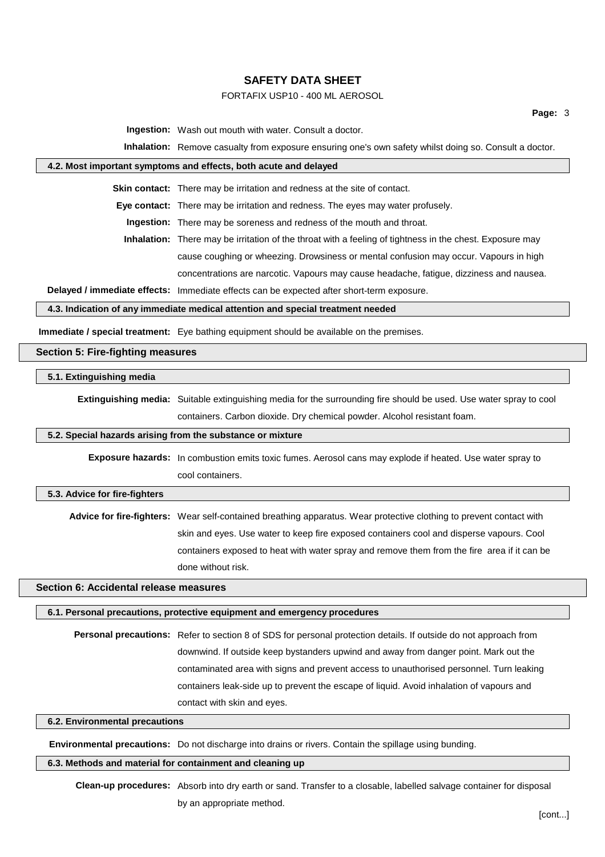## FORTAFIX USP10 - 400 ML AEROSOL

**Ingestion:** Wash out mouth with water. Consult a doctor.

**Inhalation:** Remove casualty from exposure ensuring one's own safety whilst doing so. Consult a doctor.

#### **4.2. Most important symptoms and effects, both acute and delayed**

**Skin contact:** There may be irritation and redness at the site of contact.

**Eye contact:** There may be irritation and redness. The eyes may water profusely.

**Ingestion:** There may be soreness and redness of the mouth and throat.

**Inhalation:** There may be irritation of the throat with a feeling of tightness in the chest. Exposure may cause coughing or wheezing. Drowsiness or mental confusion may occur. Vapours in high concentrations are narcotic. Vapours may cause headache, fatigue, dizziness and nausea.

**Delayed / immediate effects:** Immediate effects can be expected after short-term exposure.

#### **4.3. Indication of any immediate medical attention and special treatment needed**

**Immediate / special treatment:** Eye bathing equipment should be available on the premises.

### **Section 5: Fire-fighting measures**

#### **5.1. Extinguishing media**

**Extinguishing media:** Suitable extinguishing media for the surrounding fire should be used. Use water spray to cool containers. Carbon dioxide. Dry chemical powder. Alcohol resistant foam.

#### **5.2. Special hazards arising from the substance or mixture**

**Exposure hazards:** In combustion emits toxic fumes. Aerosol cans may explode if heated. Use water spray to cool containers.

#### **5.3. Advice for fire-fighters**

**Advice for fire-fighters:** Wear self-contained breathing apparatus. Wear protective clothing to prevent contact with skin and eyes. Use water to keep fire exposed containers cool and disperse vapours. Cool containers exposed to heat with water spray and remove them from the fire area if it can be done without risk.

## **Section 6: Accidental release measures**

#### **6.1. Personal precautions, protective equipment and emergency procedures**

**Personal precautions:** Refer to section 8 of SDS for personal protection details. If outside do not approach from downwind. If outside keep bystanders upwind and away from danger point. Mark out the contaminated area with signs and prevent access to unauthorised personnel. Turn leaking containers leak-side up to prevent the escape of liquid. Avoid inhalation of vapours and contact with skin and eyes.

## **6.2. Environmental precautions**

**Environmental precautions:** Do not discharge into drains or rivers. Contain the spillage using bunding.

### **6.3. Methods and material for containment and cleaning up**

**Clean-up procedures:** Absorb into dry earth or sand. Transfer to a closable, labelled salvage container for disposal by an appropriate method.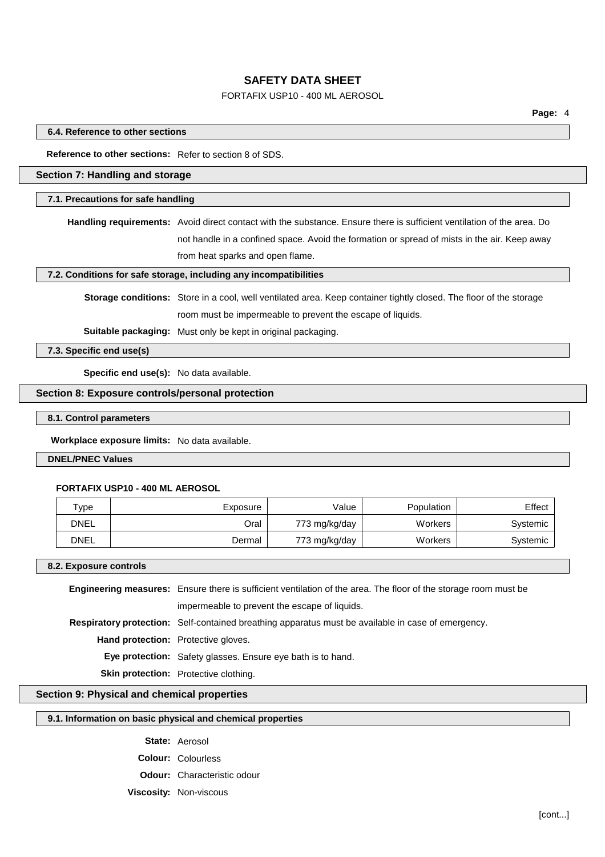## FORTAFIX USP10 - 400 ML AEROSOL

#### **6.4. Reference to other sections**

**Reference to other sections:** Refer to section 8 of SDS.

## **Section 7: Handling and storage**

#### **7.1. Precautions for safe handling**

**Handling requirements:** Avoid direct contact with the substance. Ensure there is sufficient ventilation of the area. Do not handle in a confined space. Avoid the formation or spread of mists in the air. Keep away from heat sparks and open flame.

## **7.2. Conditions for safe storage, including any incompatibilities**

**Storage conditions:** Store in a cool, well ventilated area. Keep container tightly closed. The floor of the storage room must be impermeable to prevent the escape of liquids.

**Suitable packaging:** Must only be kept in original packaging.

**7.3. Specific end use(s)**

**Specific end use(s):** No data available.

### **Section 8: Exposure controls/personal protection**

**8.1. Control parameters**

**Workplace exposure limits:** No data available.

#### **DNEL/PNEC Values**

#### **FORTAFIX USP10 - 400 ML AEROSOL**

| Type | Exposure | Value         | Population | Effect   |
|------|----------|---------------|------------|----------|
| DNEL | Oral     | 773 mg/kg/day | Workers    | Systemic |
| DNEL | Dermal   | 773 mg/kg/day | Workers    | Systemic |

#### **8.2. Exposure controls**

**Engineering measures:** Ensure there is sufficient ventilation of the area. The floor of the storage room must be impermeable to prevent the escape of liquids. **Respiratory protection:** Self-contained breathing apparatus must be available in case of emergency. **Hand protection:** Protective gloves. **Eye protection:** Safety glasses. Ensure eye bath is to hand. **Skin protection:** Protective clothing.

#### **Section 9: Physical and chemical properties**

### **9.1. Information on basic physical and chemical properties**

**State:** Aerosol

**Colour:** Colourless

**Odour:** Characteristic odour

**Viscosity:** Non-viscous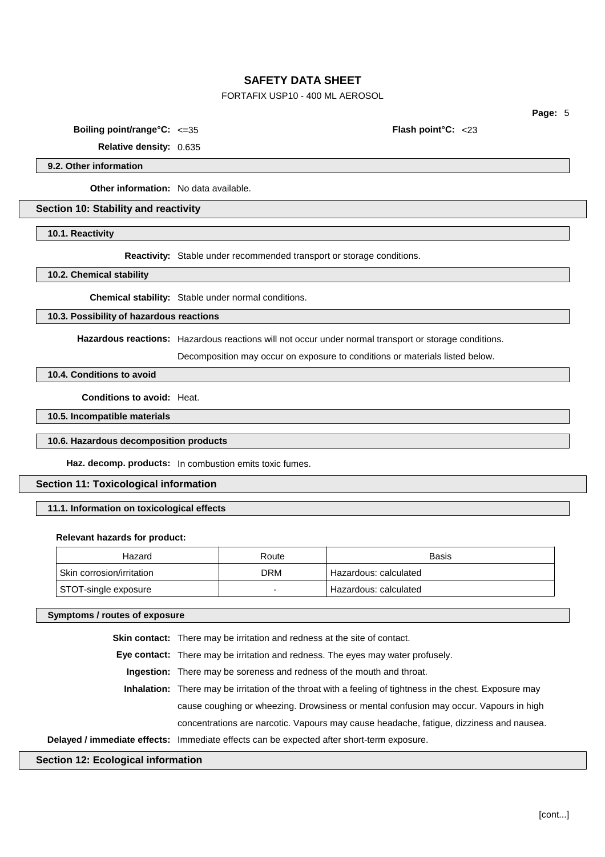## FORTAFIX USP10 - 400 ML AEROSOL

**Page:** 5

**Boiling point/range°C:** <=35 **Flash point°C:** <23

**Relative density:** 0.635

## **9.2. Other information**

**Other information:** No data available.

### **Section 10: Stability and reactivity**

**10.1. Reactivity**

**Reactivity:** Stable under recommended transport or storage conditions.

**10.2. Chemical stability**

**Chemical stability:** Stable under normal conditions.

**10.3. Possibility of hazardous reactions**

**Hazardous reactions:** Hazardous reactions will not occur under normal transport or storage conditions.

Decomposition may occur on exposure to conditions or materials listed below.

**10.4. Conditions to avoid**

**Conditions to avoid:** Heat.

**10.5. Incompatible materials**

## **10.6. Hazardous decomposition products**

**Haz. decomp. products:** In combustion emits toxic fumes.

## **Section 11: Toxicological information**

## **11.1. Information on toxicological effects**

#### **Relevant hazards for product:**

| Hazard                                 | Route | Basis                   |
|----------------------------------------|-------|-------------------------|
| <sup>l</sup> Skin corrosion/irritation | DRM   | ' Hazardous: calculated |
| STOT-single exposure                   |       | Hazardous: calculated   |

### **Symptoms / routes of exposure**

**Skin contact:** There may be irritation and redness at the site of contact.

**Eye contact:** There may be irritation and redness. The eyes may water profusely.

**Ingestion:** There may be soreness and redness of the mouth and throat.

**Inhalation:** There may be irritation of the throat with a feeling of tightness in the chest. Exposure may cause coughing or wheezing. Drowsiness or mental confusion may occur. Vapours in high concentrations are narcotic. Vapours may cause headache, fatigue, dizziness and nausea.

**Delayed / immediate effects:** Immediate effects can be expected after short-term exposure.

### **Section 12: Ecological information**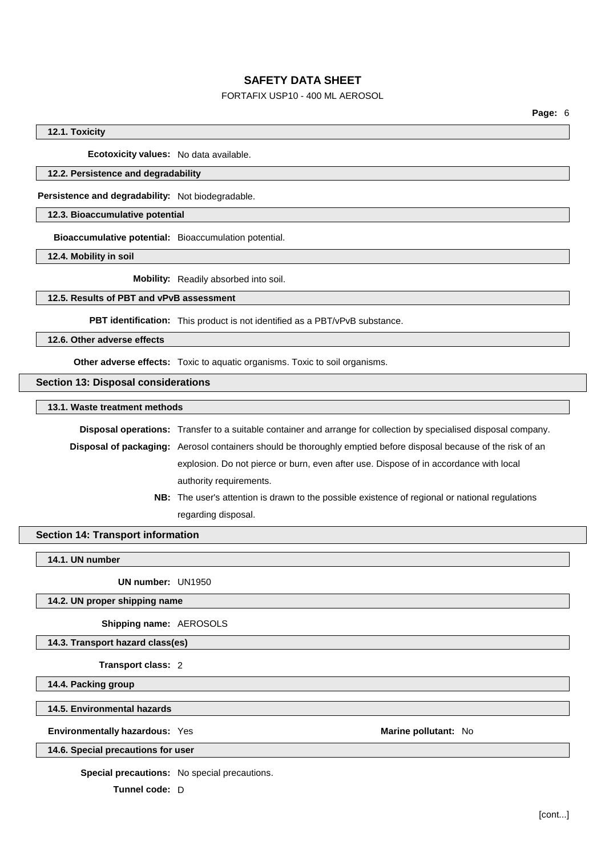## FORTAFIX USP10 - 400 ML AEROSOL

## **12.1. Toxicity**

**Ecotoxicity values:** No data available.

#### **12.2. Persistence and degradability**

**Persistence and degradability:** Not biodegradable.

## **12.3. Bioaccumulative potential**

**Bioaccumulative potential:** Bioaccumulation potential.

**12.4. Mobility in soil**

**Mobility:** Readily absorbed into soil.

## **12.5. Results of PBT and vPvB assessment**

**PBT identification:** This product is not identified as a PBT/vPvB substance.

**12.6. Other adverse effects**

**Other adverse effects:** Toxic to aquatic organisms. Toxic to soil organisms.

#### **Section 13: Disposal considerations**

**13.1. Waste treatment methods**

**Disposal operations:** Transfer to a suitable container and arrange for collection by specialised disposal company.

**Disposal of packaging:** Aerosol containers should be thoroughly emptied before disposal because of the risk of an explosion. Do not pierce or burn, even after use. Dispose of in accordance with local authority requirements.

> **NB:** The user's attention is drawn to the possible existence of regional or national regulations regarding disposal.

### **Section 14: Transport information**

**14.1. UN number**

**UN number:** UN1950

**14.2. UN proper shipping name**

**Shipping name:** AEROSOLS

**14.3. Transport hazard class(es)**

**Transport class:** 2

**14.4. Packing group**

**14.5. Environmental hazards**

**Environmentally hazardous:** Yes **Marine Marine Marine** pollutant: No

**14.6. Special precautions for user**

**Special precautions:** No special precautions.

**Tunnel code:** D